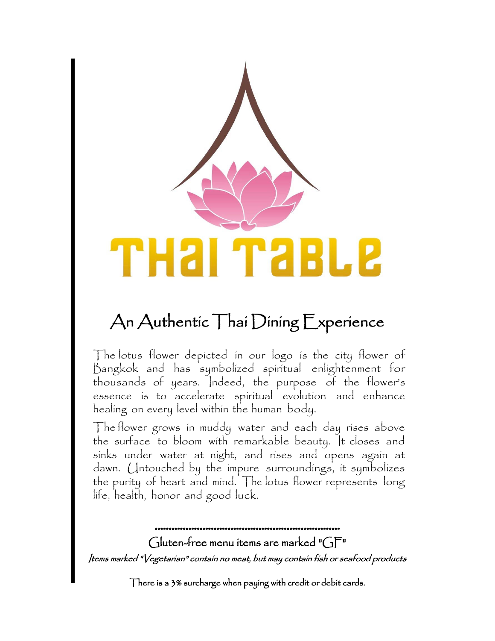

# An Authentic Thai Dining Experience

The lotus flower depicted in our logo is the city flower of Bangkok and has symbolized spiritual enlightenment for thousands of years. Indeed, the purpose of the flower's essence is to accelerate spiritual evolution and enhance healing on every level within the human body.

The flower grows in muddy water and each day rises above the surface to bloom with remarkable beauty. It closes and sinks under water at night, and rises and opens again at dawn. Untouched by the impure surroundings, it symbolizes the purity of heart and mind. The lotus flower represents long life, health, honor and good luck.

\*\*\*\*\*\*\*\*\*\*\*\*\*\*\*\*\*\*\*\*\*\*\*\*\*\*\*\*\*\*\*\*\*\*\*\*\*\*\*\*\*\*\*\*\*\*\*\*\*\*\*\*\*\*\*\*\*\*\*\*\*\*\*\*\*\* Gluten-free menu items are marked " $GF''$ Items marked "Vegetarian" contain no meat, but may contain fish or seafood products

There is a 3% surcharge when paying with credit or debit cards.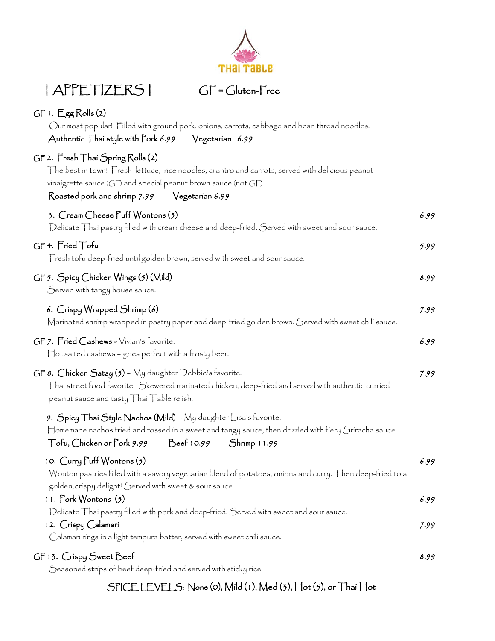

Calamari rings in a light tempura batter, served with sweet chili sauce.

GF 13. Crispy Sweet Beef Seasoned strips of beef deep-fried and served with sticky rice. 8.99

# SPICE LEVELS: None (0), Mild (1), Med (3), Hot (5), or Thai Hot



# | APPETIZERS | GF = Gluten-Free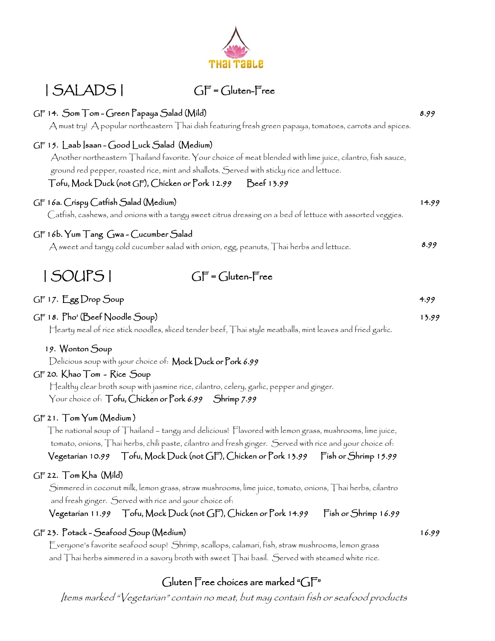| GF 14. Som Tom - Green Papaya Salad (Mild)<br>A must try! A popular northeastern Thai dish featuring fresh green papaya, tomatoes, carrots and spices.                                                                                                                                                               | 8.99  |
|----------------------------------------------------------------------------------------------------------------------------------------------------------------------------------------------------------------------------------------------------------------------------------------------------------------------|-------|
| GF 15. Laab  saan ~ Good Luck Salad (Medium)<br>Another northeastern Thailand favorite. Your choice of meat blended with lime juice, cilantro, fish sauce,<br>ground red pepper, roasted rice, mint and shallots. Served with sticky rice and lettuce.<br>Tofu, Mock Duck (not GF), Chicken or Pork 12.99 Beef 13.99 |       |
| GF 16a. Crispy Catfish Salad (Medium)<br>Catfísh, cashews, and oníons with a tangy sweet citrus dressing on a bed of lettuce with assorted veggies.                                                                                                                                                                  | 14.99 |
| GF 16b. Yum Tang Gwa - Cucumber Salad<br>A sweet and tangy cold cucumber salad with onion, egg, peanuts, Thai herbs and lettuce.                                                                                                                                                                                     | 8.99  |
| ISOUPSI<br>$GF = Gluten-Free$                                                                                                                                                                                                                                                                                        |       |
| GF 17. Egg Drop Soup                                                                                                                                                                                                                                                                                                 | 4.99  |
| GF 18. Pho' (Beef Noodle Soup)<br>$\sqcap$ earty meal of rice stick noodles, sliced tender beef, $\sqcap$ hai style meatballs, mint leaves and fried garlic.                                                                                                                                                         | 13.99 |
| 19. Wonton Soup                                                                                                                                                                                                                                                                                                      |       |

Delicious soup with your choice of: Mock Duck or Pork 6.99

#### GF 20. Khao Tom - Rice Soup

 Healthy clear broth soup with jasmine rice, cilantro, celery, garlic, pepper and ginger. Your choice of: Tofu, Chicken or Pork 6.99 Shrimp 7.99

#### GF 21. Tom Yum (Medium )

 The national soup of Thailand – tangy and delicious! Flavored with lemon grass, mushrooms, lime juice, tomato, onions, Thai herbs, chili paste, cilantro and fresh ginger. Served with rice and your choice of:

Vegetarian 10.99 Tofu, Mock Duck (not GF), Chicken or Pork 13.99 Fish or Shrimp 15.99

#### GF 22. Tom Kha (Mild)

 Simmered in coconut milk, lemon grass, straw mushrooms, lime juice, tomato, onions, Thai herbs, cilantro and fresh ginger. Served with rice and your choice of:

#### Vegetarian 11.99 Tofu, Mock Duck (not GF), Chicken or Pork 14.99 Fish or Shrimp 16.99

#### GF 23. Potack - Seafood Soup (Medium)

 Everyone's favorite seafood soup! Shrimp, scallops, calamari, fish, straw mushrooms, lemon grass and Thai herbs simmered in a savory broth with sweet Thai basil. Served with steamed white rice.

# Gluten Free choices are marked "GF"

Items marked "Vegetarian" contain no meat, but may contain fish or seafood products



# | SALADS | GF = Gluten-Free

16.99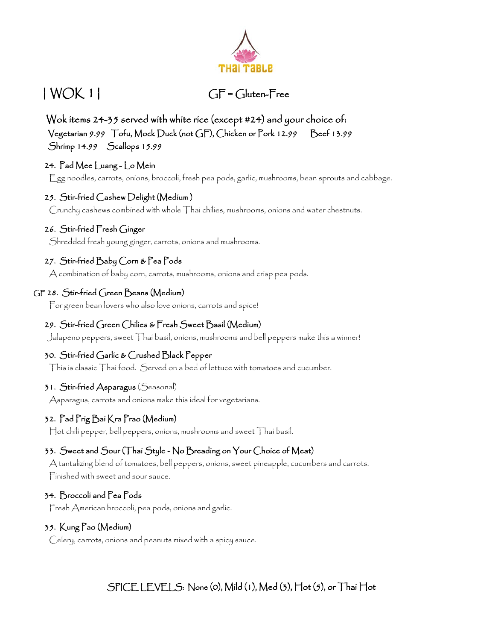

# | WOK 1| GF = Gluten-Free

 Wok items 24-35 served with white rice (except #24) and your choice of: Vegetarian 9.99 Tofu, Mock Duck (not GF), Chicken or Pork 12.99 Beef 13.99 Shrimp 14.99 Scallops 15.99

# 24. Pad Mee Luang - Lo Mein

Egg noodles, carrots, onions, broccoli, fresh pea pods, garlic, mushrooms, bean sprouts and cabbage.

### 25. Stir-fried Cashew Delight (Medium )

Crunchy cashews combined with whole Thai chilies, mushrooms, onions and water chestnuts.

#### 26. Stir-fried Fresh Ginger

Shredded fresh young ginger, carrots, onions and mushrooms.

# 27. Stir-fried Baby Corn & Pea Pods

A combination of baby corn, carrots, mushrooms, onions and crisp pea pods.

### GF 28. Stir-fried Green Beans (Medium)

For green bean lovers who also love onions, carrots and spice!

### 29. Stir-fried Green Chilies & Fresh Sweet Basil (Medium)

Jalapeno peppers, sweet Thai basil, onions, mushrooms and bell peppers make this a winner!

### 30. Stir-fried Garlic & Crushed Black Pepper

This is classic Thai food. Served on a bed of lettuce with tomatoes and cucumber.

#### 31. Stir-fried Asparagus (Seasonal)

Asparagus, carrots and onions make this ideal for vegetarians.

#### 32. Pad Prig Bai Kra Prao (Medium)

Hot chili pepper, bell peppers, onions, mushrooms and sweet Thai basil.

### 33. Sweet and Sour (Thai Style - No Breading on Your Choice of Meat)

 A tantalizing blend of tomatoes, bell peppers, onions, sweet pineapple, cucumbers and carrots. Finished with sweet and sour sauce.

#### 34. Broccoli and Pea Pods

Fresh American broccoli, pea pods, onions and garlic.

#### 35. Kung Pao (Medium)

Celery, carrots, onions and peanuts mixed with a spicy sauce.

# SPICE LEVELS: None (0), Mild (1), Med (3), Hot (5), or Thai Hot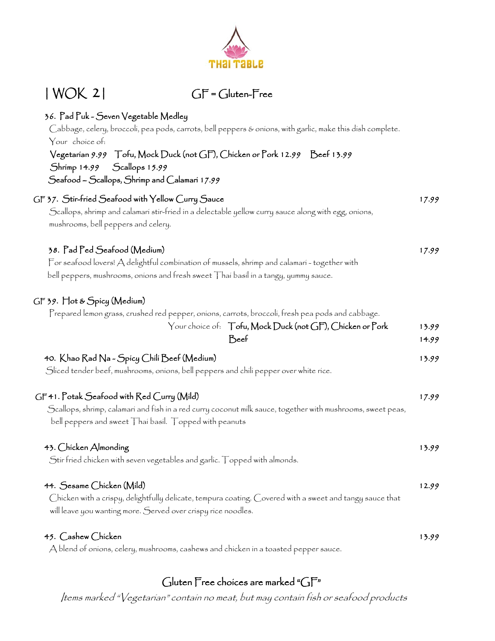

## Gluten Free choices are marked "GF"

Items marked "Vegetarian" contain no meat, but may contain fish or seafood products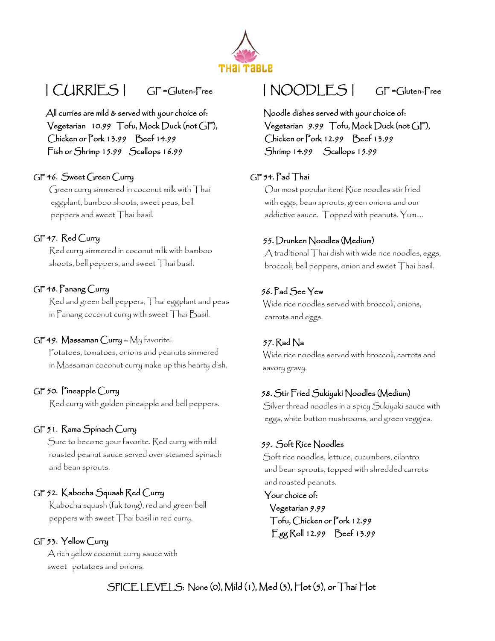

# | CURRIES | GF =Gluten-Free | NOODLES | GF =Gluten-Free

All curries are mild & served with your choice of: Vegetarian 10.99 Tofu, Mock Duck (not GF), Chicken or Pork 13.99 Beef 14.99 Fish or Shrimp 15.99 Scallops 16.99

#### GF 46. Sweet Green Curry

 Green curry simmered in coconut milk with Thai eggplant, bamboo shoots, sweet peas, bell peppers and sweet Thai basil.

#### GF 47. Red Curry

 Red curry simmered in coconut milk with bamboo shoots, bell peppers, and sweet Thai basil.

#### GF 48. Panang Curry

 Red and green bell peppers, Thai eggplant and peas in Panang coconut curry with sweet Thai Basil.

#### GF 49. Massaman Curry – My favorite!

 Potatoes, tomatoes, onions and peanuts simmered in Massaman coconut curry make up this hearty dish.

#### GF 50. Pineapple Curry

Red curry with golden pineapple and bell peppers.

#### GF 51. Rama Spinach Curry

 Sure to become your favorite. Red curry with mild roasted peanut sauce served over steamed spinach and bean sprouts.

#### GF 52. Kabocha Squash Red Curry

 Kabocha squash (fak tong), red and green bell peppers with sweet Thai basil in red curry.

#### GF 53. Yellow Curry

 A rich yellow coconut curry sauce with sweet potatoes and onions.

 Noodle dishes served with your choice of: Vegetarian 9.99 Tofu, Mock Duck (not GF), Chicken or Pork 12.99 Beef 13.99 Shrimp 14.99 Scallops 15.99

#### GF 54. Pad Thai

 Our most popular item! Rice noodles stir fried with eggs, bean sprouts, green onions and our addictive sauce. Topped with peanuts. Yum….

#### 55. Drunken Noodles (Medium)

 A traditional Thai dish with wide rice noodles, eggs, broccoli, bell peppers, onion and sweet Thai basil.

#### 56. Pad See Yew

 Wide rice noodles served with broccoli, onions, carrots and eggs.

#### 57. Rad Na

 Wide rice noodles served with broccoli, carrots and savory gravy.

#### 58. Stir Fried Sukiyaki Noodles (Medium)

 Silver thread noodles in a spicy Sukiyaki sauce with eggs, white button mushrooms, and green veggies.

#### 59. Soft Rice Noodles

 Soft rice noodles, lettuce, cucumbers, cilantro and bean sprouts, topped with shredded carrots and roasted peanuts.

 Your choice of: Vegetarian 9.99 Tofu, Chicken or Pork 12.99 Egg Roll 12.99 Beef 13.99

SPICE LEVELS: None (0), Mild (1), Med (3), Hot (5), or Thai Hot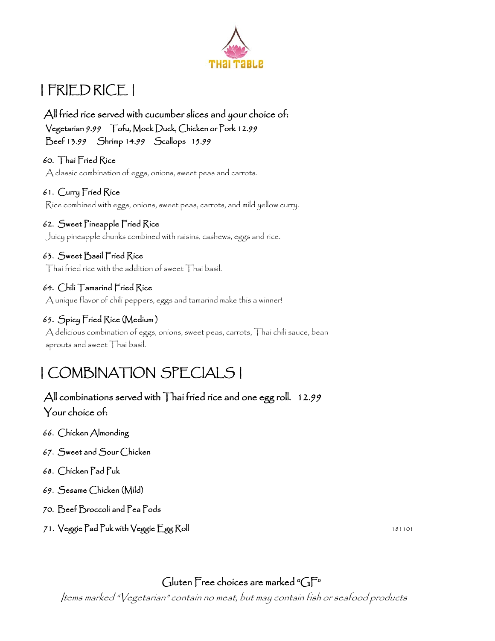

# | FRIED RICE |

All fried rice served with cucumber slices and your choice of: Vegetarian 9.99 Tofu, Mock Duck, Chicken or Pork 12.99 Beef 13.99 Shrimp 14.99 Scallops 15.99

 60. Thai Fried Rice A classic combination of eggs, onions, sweet peas and carrots.

### 61. Curry Fried Rice

Rice combined with eggs, onions, sweet peas, carrots, and mild yellow curry.

### 62. Sweet Pineapple Fried Rice

Juicy pineapple chunks combined with raisins, cashews, eggs and rice.

### 63. Sweet Basil Fried Rice

Thai fried rice with the addition of sweet Thai basil.

#### 64. Chili Tamarind Fried Rice

A unique flavor of chili peppers, eggs and tamarind make this a winner!

# 65. Spicy Fried Rice (Medium )

 A delicious combination of eggs, onions, sweet peas, carrots, Thai chili sauce, bean sprouts and sweet Thai basil.

# | COMBINATION SPECIALS |

# All combinations served with Thai fried rice and one egg roll. 12.99 Your choice of:

- 66. Chicken Almonding
- 67. Sweet and Sour Chicken
- 68. Chicken Pad Puk
- 69. Sesame Chicken (Mild)
- 70. Beef Broccoli and Pea Pods
- 71. Veggie Pad Puk with Veggie Egg Roll 181101

# Gluten Free choices are marked "GF"

Items marked "Vegetarian" contain no meat, but may contain fish or seafood products